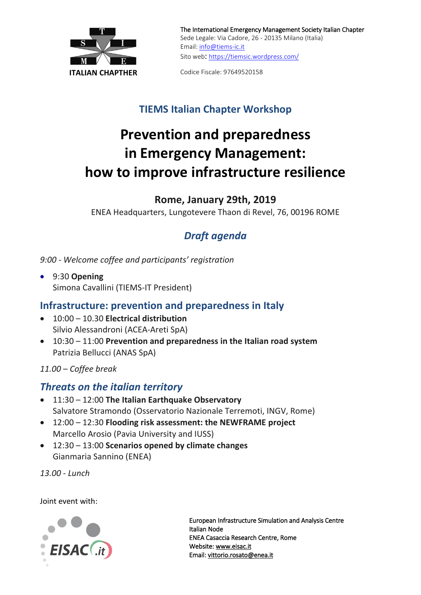

The International Emergency Management Society Italian Chapter Sede Legale: Via Cadore, 26 - 20135 Milano (Italia) Email: [info@tiems-ic.it](mailto:info@tiems-ic.it) Sito web: <https://tiemsic.wordpress.com/>

**ITALIAN CHAPTHER** Codice Fiscale: 97649520158

## **TIEMS Italian Chapter Workshop**

# **Prevention and preparedness in Emergency Management: how to improve infrastructure resilience**

**Rome, January 29th, 2019**

ENEA Headquarters, Lungotevere Thaon di Revel, 76, 00196 ROME

## *Draft agenda*

*9:00 - Welcome coffee and participants' registration*

• 9:30 **Opening** Simona Cavallini (TIEMS-IT President)

### **Infrastructure: prevention and preparedness in Italy**

- 10:00 10.30 **Electrical distribution**  Silvio Alessandroni (ACEA-Areti SpA)
- 10:30 11:00 **Prevention and preparedness in the Italian road system** Patrizia Bellucci (ANAS SpA)

*11.00 – Coffee break*

### *Threats on the italian territory*

- 11:30 12:00 **The Italian Earthquake Observatory** Salvatore Stramondo (Osservatorio Nazionale Terremoti, INGV, Rome)
- 12:00 12:30 **Flooding risk assessment: the NEWFRAME project** Marcello Arosio (Pavia University and [IUSS\)](http://www.iusspavia.it/home)
- 12:30 13:00 **Scenarios opened by climate changes** Gianmaria Sannino (ENEA)

*13.00 - Lunch*

Joint event with:



European Infrastructure Simulation and Analysis Centre Italian Node ENEA Casaccia Research Centre, Rome Website: [www.eisac.it](http://www.eisac.it/)  Email: vittorio.rosato@enea.it